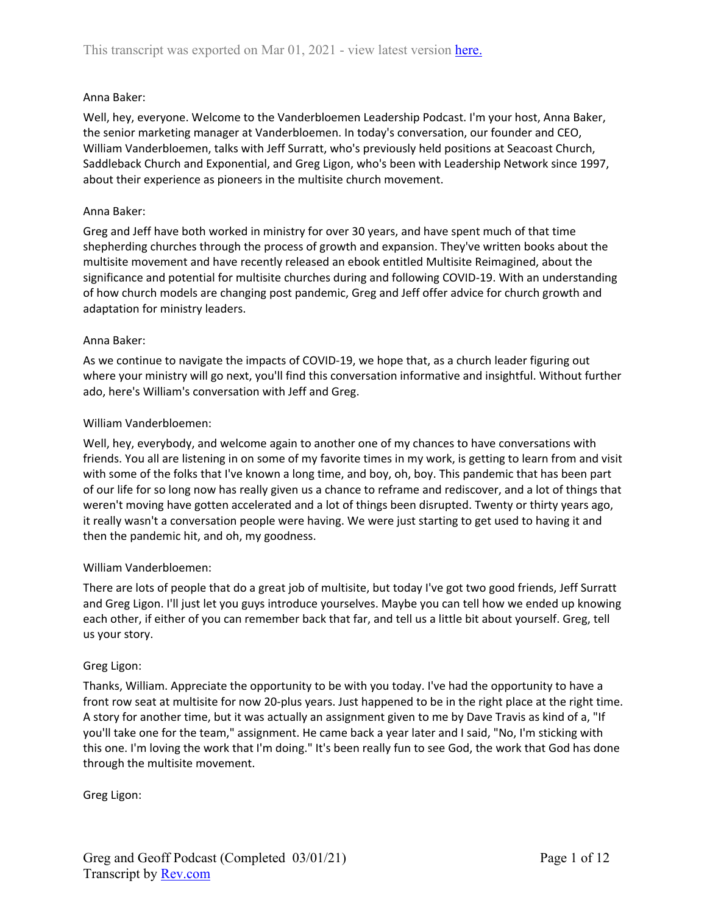### Anna Baker:

Well, hey, everyone. Welcome to the Vanderbloemen Leadership Podcast. I'm your host, Anna Baker, the senior marketing manager at Vanderbloemen. In today's conversation, our founder and CEO, William Vanderbloemen, talks with Jeff Surratt, who's previously held positions at Seacoast Church, Saddleback Church and Exponential, and Greg Ligon, who's been with Leadership Network since 1997, about their experience as pioneers in the multisite church movement.

#### Anna Baker:

Greg and Jeff have both worked in ministry for over 30 years, and have spent much of that time shepherding churches through the process of growth and expansion. They've written books about the multisite movement and have recently released an ebook entitled Multisite Reimagined, about the significance and potential for multisite churches during and following COVID-19. With an understanding of how church models are changing post pandemic, Greg and Jeff offer advice for church growth and adaptation for ministry leaders.

### Anna Baker:

As we continue to navigate the impacts of COVID-19, we hope that, as a church leader figuring out where your ministry will go next, you'll find this conversation informative and insightful. Without further ado, here's William's conversation with Jeff and Greg.

### William Vanderbloemen:

Well, hey, everybody, and welcome again to another one of my chances to have conversations with friends. You all are listening in on some of my favorite times in my work, is getting to learn from and visit with some of the folks that I've known a long time, and boy, oh, boy. This pandemic that has been part of our life for so long now has really given us a chance to reframe and rediscover, and a lot of things that weren't moving have gotten accelerated and a lot of things been disrupted. Twenty or thirty years ago, it really wasn't a conversation people were having. We were just starting to get used to having it and then the pandemic hit, and oh, my goodness.

#### William Vanderbloemen:

There are lots of people that do a great job of multisite, but today I've got two good friends, Jeff Surratt and Greg Ligon. I'll just let you guys introduce yourselves. Maybe you can tell how we ended up knowing each other, if either of you can remember back that far, and tell us a little bit about yourself. Greg, tell us your story.

#### Greg Ligon:

Thanks, William. Appreciate the opportunity to be with you today. I've had the opportunity to have a front row seat at multisite for now 20-plus years. Just happened to be in the right place at the right time. A story for another time, but it was actually an assignment given to me by Dave Travis as kind of a, "If you'll take one for the team," assignment. He came back a year later and I said, "No, I'm sticking with this one. I'm loving the work that I'm doing." It's been really fun to see God, the work that God has done through the multisite movement.

Greg Ligon: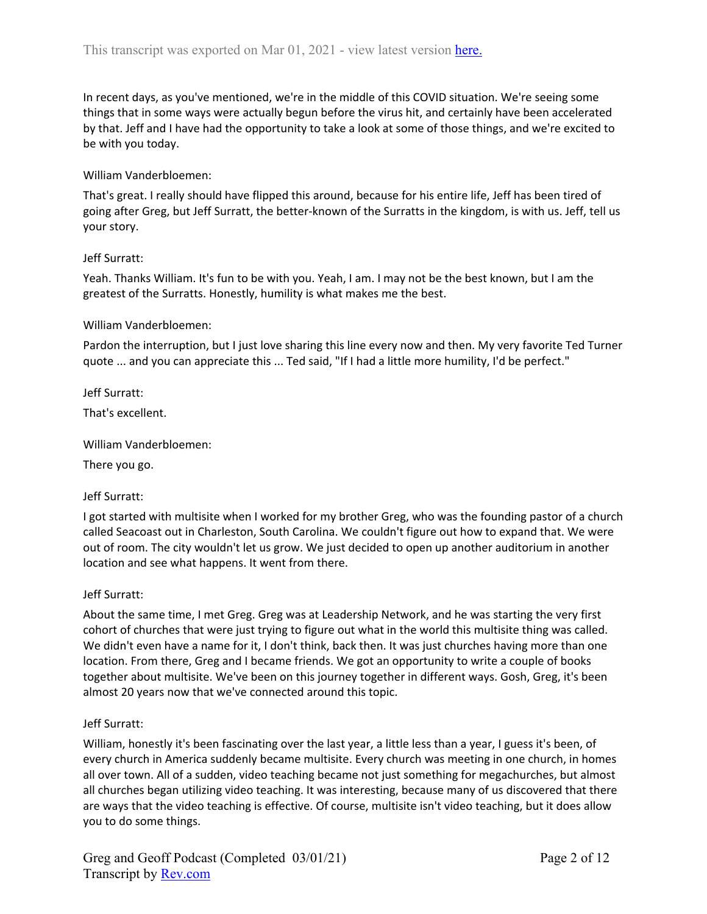In recent days, as you've mentioned, we're in the middle of this COVID situation. We're seeing some things that in some ways were actually begun before the virus hit, and certainly have been accelerated by that. Jeff and I have had the opportunity to take a look at some of those things, and we're excited to be with you today.

#### William Vanderbloemen:

That's great. I really should have flipped this around, because for his entire life, Jeff has been tired of going after Greg, but Jeff Surratt, the better-known of the Surratts in the kingdom, is with us. Jeff, tell us your story.

#### Jeff Surratt:

Yeah. Thanks William. It's fun to be with you. Yeah, I am. I may not be the best known, but I am the greatest of the Surratts. Honestly, humility is what makes me the best.

#### William Vanderbloemen:

Pardon the interruption, but I just love sharing this line every now and then. My very favorite Ted Turner quote ... and you can appreciate this ... Ted said, "If I had a little more humility, I'd be perfect."

Jeff Surratt:

That's excellent.

William Vanderbloemen:

There you go.

#### Jeff Surratt:

I got started with multisite when I worked for my brother Greg, who was the founding pastor of a church called Seacoast out in Charleston, South Carolina. We couldn't figure out how to expand that. We were out of room. The city wouldn't let us grow. We just decided to open up another auditorium in another location and see what happens. It went from there.

#### Jeff Surratt:

About the same time, I met Greg. Greg was at Leadership Network, and he was starting the very first cohort of churches that were just trying to figure out what in the world this multisite thing was called. We didn't even have a name for it, I don't think, back then. It was just churches having more than one location. From there, Greg and I became friends. We got an opportunity to write a couple of books together about multisite. We've been on this journey together in different ways. Gosh, Greg, it's been almost 20 years now that we've connected around this topic.

#### Jeff Surratt:

William, honestly it's been fascinating over the last year, a little less than a year, I guess it's been, of every church in America suddenly became multisite. Every church was meeting in one church, in homes all over town. All of a sudden, video teaching became not just something for megachurches, but almost all churches began utilizing video teaching. It was interesting, because many of us discovered that there are ways that the video teaching is effective. Of course, multisite isn't video teaching, but it does allow you to do some things.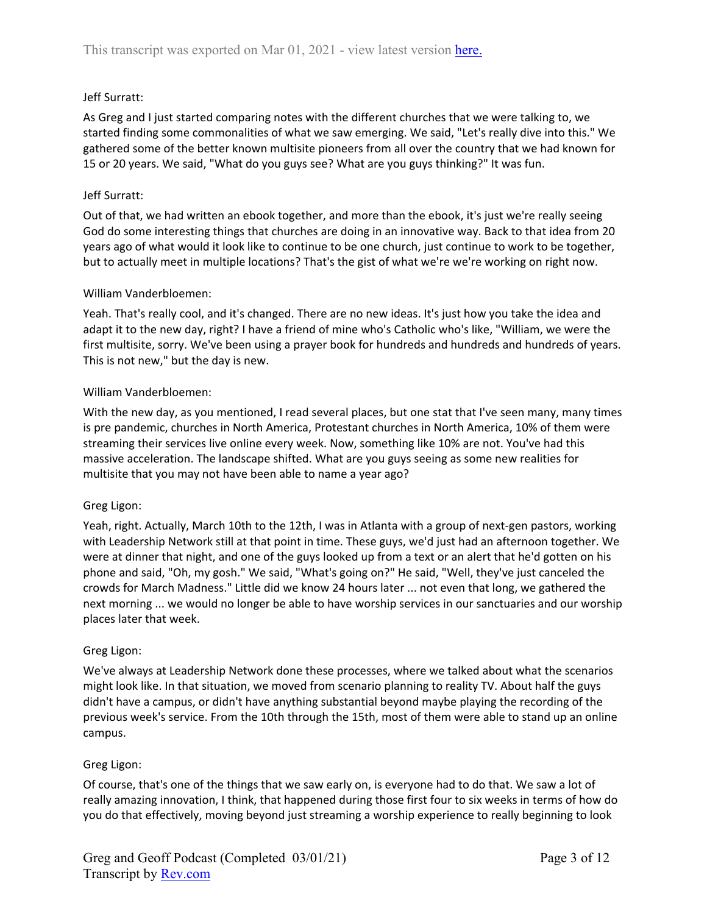## Jeff Surratt:

As Greg and I just started comparing notes with the different churches that we were talking to, we started finding some commonalities of what we saw emerging. We said, "Let's really dive into this." We gathered some of the better known multisite pioneers from all over the country that we had known for 15 or 20 years. We said, "What do you guys see? What are you guys thinking?" It was fun.

### Jeff Surratt:

Out of that, we had written an ebook together, and more than the ebook, it's just we're really seeing God do some interesting things that churches are doing in an innovative way. Back to that idea from 20 years ago of what would it look like to continue to be one church, just continue to work to be together, but to actually meet in multiple locations? That's the gist of what we're we're working on right now.

### William Vanderbloemen:

Yeah. That's really cool, and it's changed. There are no new ideas. It's just how you take the idea and adapt it to the new day, right? I have a friend of mine who's Catholic who's like, "William, we were the first multisite, sorry. We've been using a prayer book for hundreds and hundreds and hundreds of years. This is not new," but the day is new.

### William Vanderbloemen:

With the new day, as you mentioned, I read several places, but one stat that I've seen many, many times is pre pandemic, churches in North America, Protestant churches in North America, 10% of them were streaming their services live online every week. Now, something like 10% are not. You've had this massive acceleration. The landscape shifted. What are you guys seeing as some new realities for multisite that you may not have been able to name a year ago?

#### Greg Ligon:

Yeah, right. Actually, March 10th to the 12th, I was in Atlanta with a group of next-gen pastors, working with Leadership Network still at that point in time. These guys, we'd just had an afternoon together. We were at dinner that night, and one of the guys looked up from a text or an alert that he'd gotten on his phone and said, "Oh, my gosh." We said, "What's going on?" He said, "Well, they've just canceled the crowds for March Madness." Little did we know 24 hours later ... not even that long, we gathered the next morning ... we would no longer be able to have worship services in our sanctuaries and our worship places later that week.

#### Greg Ligon:

We've always at Leadership Network done these processes, where we talked about what the scenarios might look like. In that situation, we moved from scenario planning to reality TV. About half the guys didn't have a campus, or didn't have anything substantial beyond maybe playing the recording of the previous week's service. From the 10th through the 15th, most of them were able to stand up an online campus.

#### Greg Ligon:

Of course, that's one of the things that we saw early on, is everyone had to do that. We saw a lot of really amazing innovation, I think, that happened during those first four to six weeks in terms of how do you do that effectively, moving beyond just streaming a worship experience to really beginning to look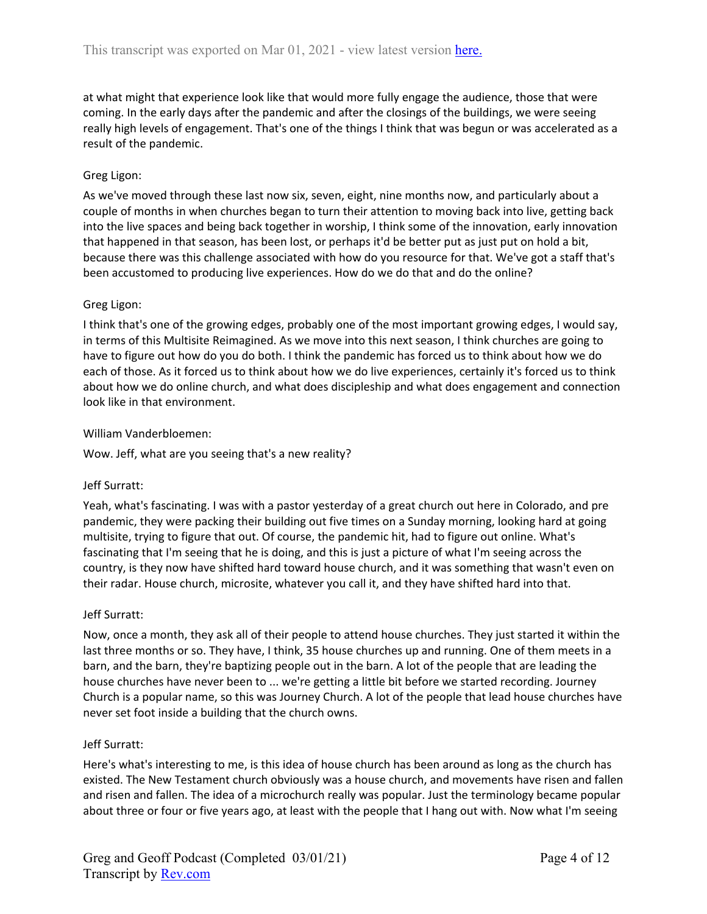at what might that experience look like that would more fully engage the audience, those that were coming. In the early days after the pandemic and after the closings of the buildings, we were seeing really high levels of engagement. That's one of the things I think that was begun or was accelerated as a result of the pandemic.

# Greg Ligon:

As we've moved through these last now six, seven, eight, nine months now, and particularly about a couple of months in when churches began to turn their attention to moving back into live, getting back into the live spaces and being back together in worship, I think some of the innovation, early innovation that happened in that season, has been lost, or perhaps it'd be better put as just put on hold a bit, because there was this challenge associated with how do you resource for that. We've got a staff that's been accustomed to producing live experiences. How do we do that and do the online?

## Greg Ligon:

I think that's one of the growing edges, probably one of the most important growing edges, I would say, in terms of this Multisite Reimagined. As we move into this next season, I think churches are going to have to figure out how do you do both. I think the pandemic has forced us to think about how we do each of those. As it forced us to think about how we do live experiences, certainly it's forced us to think about how we do online church, and what does discipleship and what does engagement and connection look like in that environment.

### William Vanderbloemen:

Wow. Jeff, what are you seeing that's a new reality?

## Jeff Surratt:

Yeah, what's fascinating. I was with a pastor yesterday of a great church out here in Colorado, and pre pandemic, they were packing their building out five times on a Sunday morning, looking hard at going multisite, trying to figure that out. Of course, the pandemic hit, had to figure out online. What's fascinating that I'm seeing that he is doing, and this is just a picture of what I'm seeing across the country, is they now have shifted hard toward house church, and it was something that wasn't even on their radar. House church, microsite, whatever you call it, and they have shifted hard into that.

#### Jeff Surratt:

Now, once a month, they ask all of their people to attend house churches. They just started it within the last three months or so. They have, I think, 35 house churches up and running. One of them meets in a barn, and the barn, they're baptizing people out in the barn. A lot of the people that are leading the house churches have never been to ... we're getting a little bit before we started recording. Journey Church is a popular name, so this was Journey Church. A lot of the people that lead house churches have never set foot inside a building that the church owns.

#### Jeff Surratt:

Here's what's interesting to me, is this idea of house church has been around as long as the church has existed. The New Testament church obviously was a house church, and movements have risen and fallen and risen and fallen. The idea of a microchurch really was popular. Just the terminology became popular about three or four or five years ago, at least with the people that I hang out with. Now what I'm seeing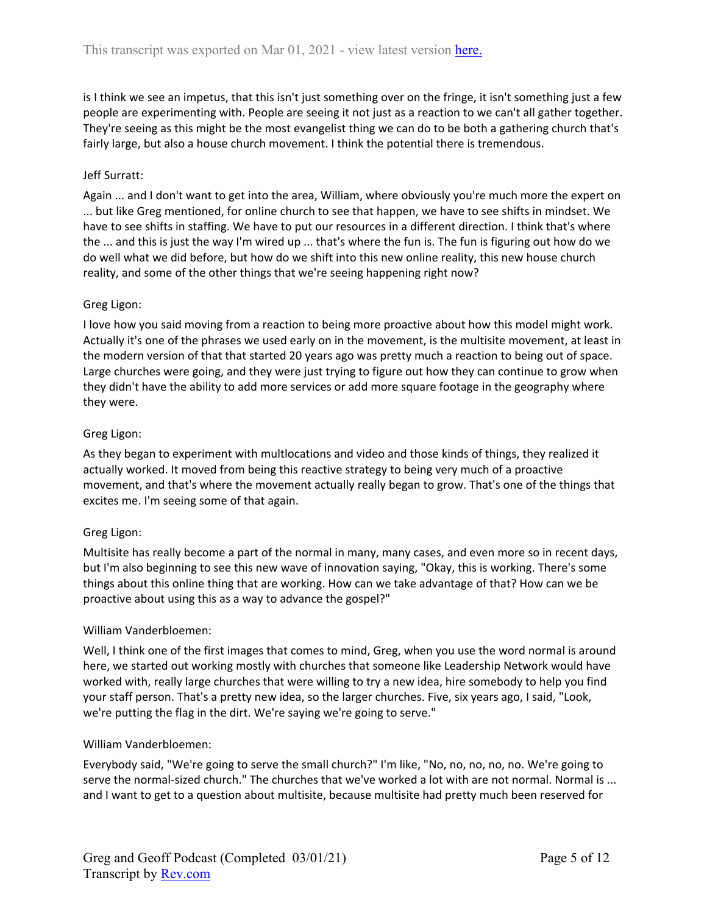is I think we see an impetus, that this isn't just something over on the fringe, it isn't something just a few people are experimenting with. People are seeing it not just as a reaction to we can't all gather together. They're seeing as this might be the most evangelist thing we can do to be both a gathering church that's fairly large, but also a house church movement. I think the potential there is tremendous.

## Jeff Surratt:

Again ... and I don't want to get into the area, William, where obviously you're much more the expert on ... but like Greg mentioned, for online church to see that happen, we have to see shifts in mindset. We have to see shifts in staffing. We have to put our resources in a different direction. I think that's where the ... and this is just the way I'm wired up ... that's where the fun is. The fun is figuring out how do we do well what we did before, but how do we shift into this new online reality, this new house church reality, and some of the other things that we're seeing happening right now?

## Greg Ligon:

I love how you said moving from a reaction to being more proactive about how this model might work. Actually it's one of the phrases we used early on in the movement, is the multisite movement, at least in the modern version of that that started 20 years ago was pretty much a reaction to being out of space. Large churches were going, and they were just trying to figure out how they can continue to grow when they didn't have the ability to add more services or add more square footage in the geography where they were.

### Greg Ligon:

As they began to experiment with multlocations and video and those kinds of things, they realized it actually worked. It moved from being this reactive strategy to being very much of a proactive movement, and that's where the movement actually really began to grow. That's one of the things that excites me. I'm seeing some of that again.

## Greg Ligon:

Multisite has really become a part of the normal in many, many cases, and even more so in recent days, but I'm also beginning to see this new wave of innovation saying, "Okay, this is working. There's some things about this online thing that are working. How can we take advantage of that? How can we be proactive about using this as a way to advance the gospel?"

#### William Vanderbloemen:

Well, I think one of the first images that comes to mind, Greg, when you use the word normal is around here, we started out working mostly with churches that someone like Leadership Network would have worked with, really large churches that were willing to try a new idea, hire somebody to help you find your staff person. That's a pretty new idea, so the larger churches. Five, six years ago, I said, "Look, we're putting the flag in the dirt. We're saying we're going to serve."

#### William Vanderbloemen:

Everybody said, "We're going to serve the small church?" I'm like, "No, no, no, no, no. We're going to serve the normal-sized church." The churches that we've worked a lot with are not normal. Normal is ... and I want to get to a question about multisite, because multisite had pretty much been reserved for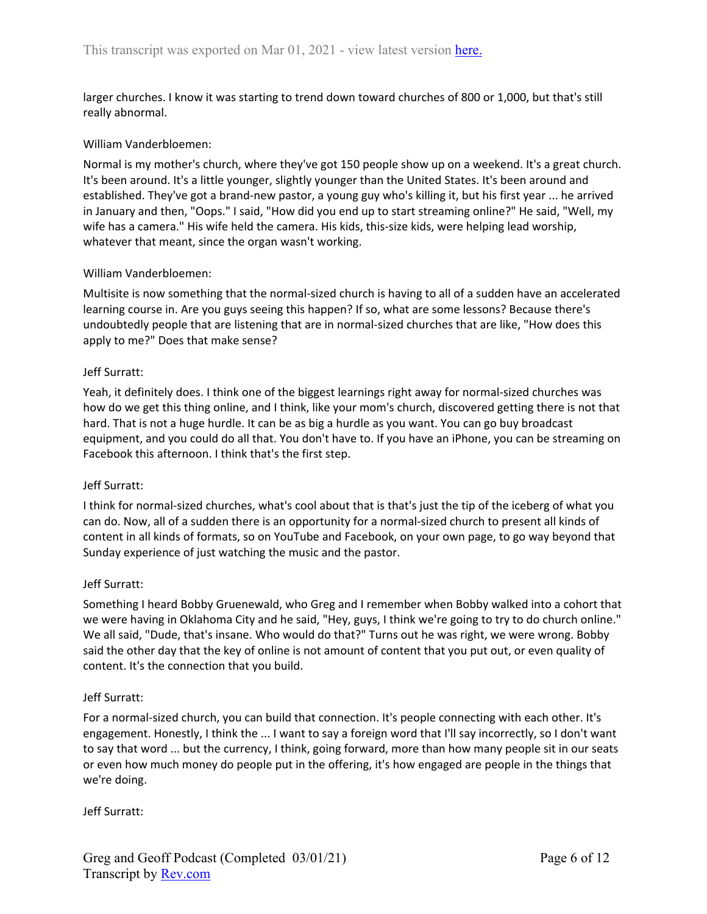larger churches. I know it was starting to trend down toward churches of 800 or 1,000, but that's still really abnormal.

### William Vanderbloemen:

Normal is my mother's church, where they've got 150 people show up on a weekend. It's a great church. It's been around. It's a little younger, slightly younger than the United States. It's been around and established. They've got a brand-new pastor, a young guy who's killing it, but his first year ... he arrived in January and then, "Oops." I said, "How did you end up to start streaming online?" He said, "Well, my wife has a camera." His wife held the camera. His kids, this-size kids, were helping lead worship, whatever that meant, since the organ wasn't working.

### William Vanderbloemen:

Multisite is now something that the normal-sized church is having to all of a sudden have an accelerated learning course in. Are you guys seeing this happen? If so, what are some lessons? Because there's undoubtedly people that are listening that are in normal-sized churches that are like, "How does this apply to me?" Does that make sense?

### Jeff Surratt:

Yeah, it definitely does. I think one of the biggest learnings right away for normal-sized churches was how do we get this thing online, and I think, like your mom's church, discovered getting there is not that hard. That is not a huge hurdle. It can be as big a hurdle as you want. You can go buy broadcast equipment, and you could do all that. You don't have to. If you have an iPhone, you can be streaming on Facebook this afternoon. I think that's the first step.

#### Jeff Surratt:

I think for normal-sized churches, what's cool about that is that's just the tip of the iceberg of what you can do. Now, all of a sudden there is an opportunity for a normal-sized church to present all kinds of content in all kinds of formats, so on YouTube and Facebook, on your own page, to go way beyond that Sunday experience of just watching the music and the pastor.

#### Jeff Surratt:

Something I heard Bobby Gruenewald, who Greg and I remember when Bobby walked into a cohort that we were having in Oklahoma City and he said, "Hey, guys, I think we're going to try to do church online." We all said, "Dude, that's insane. Who would do that?" Turns out he was right, we were wrong. Bobby said the other day that the key of online is not amount of content that you put out, or even quality of content. It's the connection that you build.

#### Jeff Surratt:

For a normal-sized church, you can build that connection. It's people connecting with each other. It's engagement. Honestly, I think the ... I want to say a foreign word that I'll say incorrectly, so I don't want to say that word ... but the currency, I think, going forward, more than how many people sit in our seats or even how much money do people put in the offering, it's how engaged are people in the things that we're doing.

Jeff Surratt: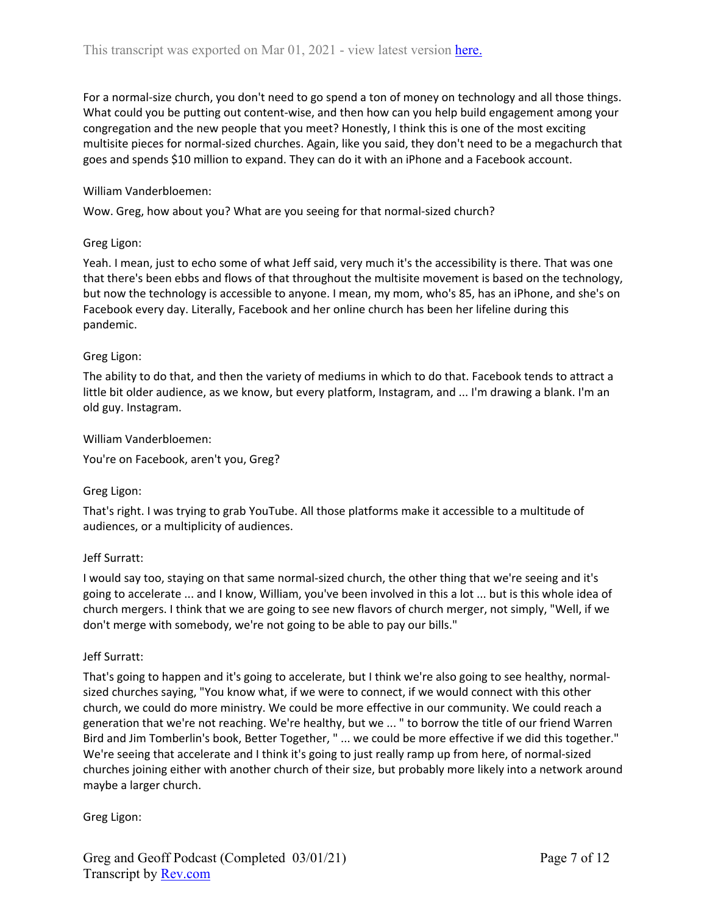For a normal-size church, you don't need to go spend a ton of money on technology and all those things. What could you be putting out content-wise, and then how can you help build engagement among your congregation and the new people that you meet? Honestly, I think this is one of the most exciting multisite pieces for normal-sized churches. Again, like you said, they don't need to be a megachurch that goes and spends \$10 million to expand. They can do it with an iPhone and a Facebook account.

### William Vanderbloemen:

Wow. Greg, how about you? What are you seeing for that normal-sized church?

### Greg Ligon:

Yeah. I mean, just to echo some of what Jeff said, very much it's the accessibility is there. That was one that there's been ebbs and flows of that throughout the multisite movement is based on the technology, but now the technology is accessible to anyone. I mean, my mom, who's 85, has an iPhone, and she's on Facebook every day. Literally, Facebook and her online church has been her lifeline during this pandemic.

### Greg Ligon:

The ability to do that, and then the variety of mediums in which to do that. Facebook tends to attract a little bit older audience, as we know, but every platform, Instagram, and ... I'm drawing a blank. I'm an old guy. Instagram.

#### William Vanderbloemen:

You're on Facebook, aren't you, Greg?

## Greg Ligon:

That's right. I was trying to grab YouTube. All those platforms make it accessible to a multitude of audiences, or a multiplicity of audiences.

## Jeff Surratt:

I would say too, staying on that same normal-sized church, the other thing that we're seeing and it's going to accelerate ... and I know, William, you've been involved in this a lot ... but is this whole idea of church mergers. I think that we are going to see new flavors of church merger, not simply, "Well, if we don't merge with somebody, we're not going to be able to pay our bills."

#### Jeff Surratt:

That's going to happen and it's going to accelerate, but I think we're also going to see healthy, normalsized churches saying, "You know what, if we were to connect, if we would connect with this other church, we could do more ministry. We could be more effective in our community. We could reach a generation that we're not reaching. We're healthy, but we ... " to borrow the title of our friend Warren Bird and Jim Tomberlin's book, Better Together, " ... we could be more effective if we did this together." We're seeing that accelerate and I think it's going to just really ramp up from here, of normal-sized churches joining either with another church of their size, but probably more likely into a network around maybe a larger church.

Greg Ligon: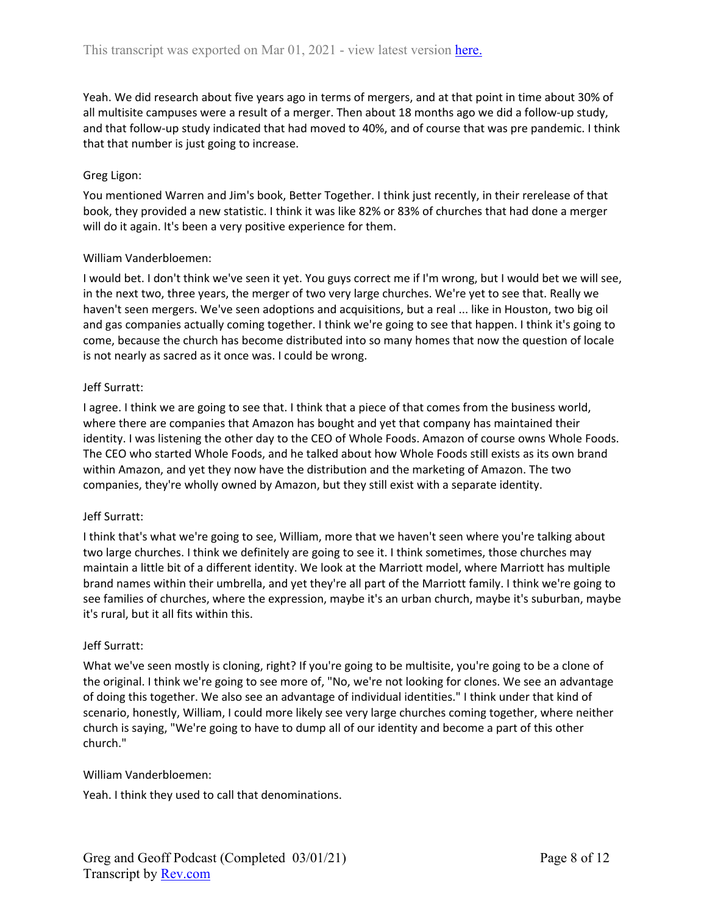Yeah. We did research about five years ago in terms of mergers, and at that point in time about 30% of all multisite campuses were a result of a merger. Then about 18 months ago we did a follow-up study, and that follow-up study indicated that had moved to 40%, and of course that was pre pandemic. I think that that number is just going to increase.

## Greg Ligon:

You mentioned Warren and Jim's book, Better Together. I think just recently, in their rerelease of that book, they provided a new statistic. I think it was like 82% or 83% of churches that had done a merger will do it again. It's been a very positive experience for them.

### William Vanderbloemen:

I would bet. I don't think we've seen it yet. You guys correct me if I'm wrong, but I would bet we will see, in the next two, three years, the merger of two very large churches. We're yet to see that. Really we haven't seen mergers. We've seen adoptions and acquisitions, but a real ... like in Houston, two big oil and gas companies actually coming together. I think we're going to see that happen. I think it's going to come, because the church has become distributed into so many homes that now the question of locale is not nearly as sacred as it once was. I could be wrong.

### Jeff Surratt:

I agree. I think we are going to see that. I think that a piece of that comes from the business world, where there are companies that Amazon has bought and yet that company has maintained their identity. I was listening the other day to the CEO of Whole Foods. Amazon of course owns Whole Foods. The CEO who started Whole Foods, and he talked about how Whole Foods still exists as its own brand within Amazon, and yet they now have the distribution and the marketing of Amazon. The two companies, they're wholly owned by Amazon, but they still exist with a separate identity.

## Jeff Surratt:

I think that's what we're going to see, William, more that we haven't seen where you're talking about two large churches. I think we definitely are going to see it. I think sometimes, those churches may maintain a little bit of a different identity. We look at the Marriott model, where Marriott has multiple brand names within their umbrella, and yet they're all part of the Marriott family. I think we're going to see families of churches, where the expression, maybe it's an urban church, maybe it's suburban, maybe it's rural, but it all fits within this.

#### Jeff Surratt:

What we've seen mostly is cloning, right? If you're going to be multisite, you're going to be a clone of the original. I think we're going to see more of, "No, we're not looking for clones. We see an advantage of doing this together. We also see an advantage of individual identities." I think under that kind of scenario, honestly, William, I could more likely see very large churches coming together, where neither church is saying, "We're going to have to dump all of our identity and become a part of this other church."

#### William Vanderbloemen:

Yeah. I think they used to call that denominations.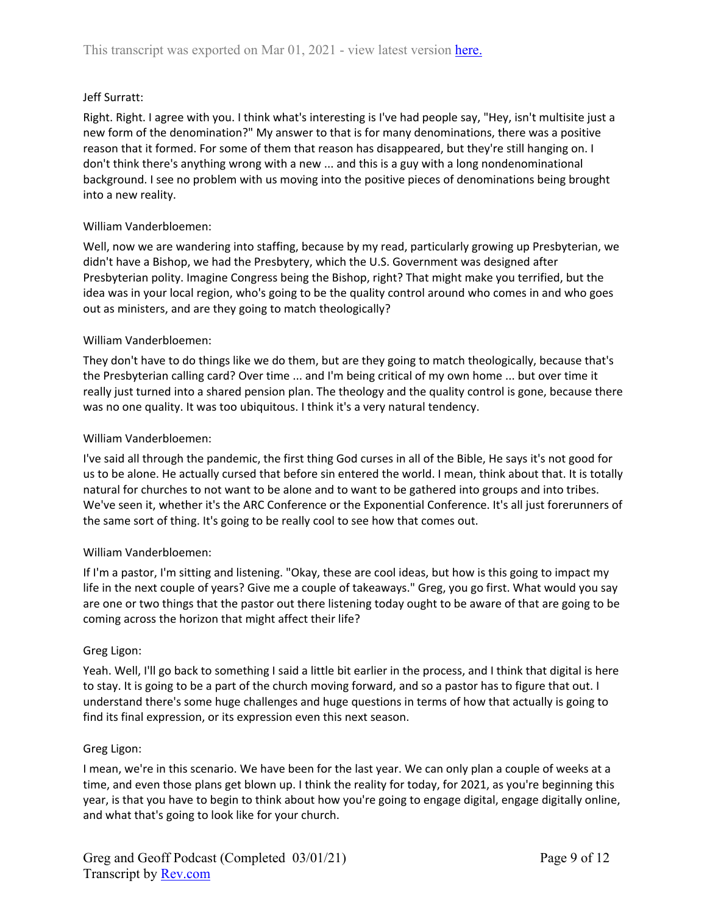## Jeff Surratt:

Right. Right. I agree with you. I think what's interesting is I've had people say, "Hey, isn't multisite just a new form of the denomination?" My answer to that is for many denominations, there was a positive reason that it formed. For some of them that reason has disappeared, but they're still hanging on. I don't think there's anything wrong with a new ... and this is a guy with a long nondenominational background. I see no problem with us moving into the positive pieces of denominations being brought into a new reality.

### William Vanderbloemen:

Well, now we are wandering into staffing, because by my read, particularly growing up Presbyterian, we didn't have a Bishop, we had the Presbytery, which the U.S. Government was designed after Presbyterian polity. Imagine Congress being the Bishop, right? That might make you terrified, but the idea was in your local region, who's going to be the quality control around who comes in and who goes out as ministers, and are they going to match theologically?

### William Vanderbloemen:

They don't have to do things like we do them, but are they going to match theologically, because that's the Presbyterian calling card? Over time ... and I'm being critical of my own home ... but over time it really just turned into a shared pension plan. The theology and the quality control is gone, because there was no one quality. It was too ubiquitous. I think it's a very natural tendency.

### William Vanderbloemen:

I've said all through the pandemic, the first thing God curses in all of the Bible, He says it's not good for us to be alone. He actually cursed that before sin entered the world. I mean, think about that. It is totally natural for churches to not want to be alone and to want to be gathered into groups and into tribes. We've seen it, whether it's the ARC Conference or the Exponential Conference. It's all just forerunners of the same sort of thing. It's going to be really cool to see how that comes out.

## William Vanderbloemen:

If I'm a pastor, I'm sitting and listening. "Okay, these are cool ideas, but how is this going to impact my life in the next couple of years? Give me a couple of takeaways." Greg, you go first. What would you say are one or two things that the pastor out there listening today ought to be aware of that are going to be coming across the horizon that might affect their life?

#### Greg Ligon:

Yeah. Well, I'll go back to something I said a little bit earlier in the process, and I think that digital is here to stay. It is going to be a part of the church moving forward, and so a pastor has to figure that out. I understand there's some huge challenges and huge questions in terms of how that actually is going to find its final expression, or its expression even this next season.

#### Greg Ligon:

I mean, we're in this scenario. We have been for the last year. We can only plan a couple of weeks at a time, and even those plans get blown up. I think the reality for today, for 2021, as you're beginning this year, is that you have to begin to think about how you're going to engage digital, engage digitally online, and what that's going to look like for your church.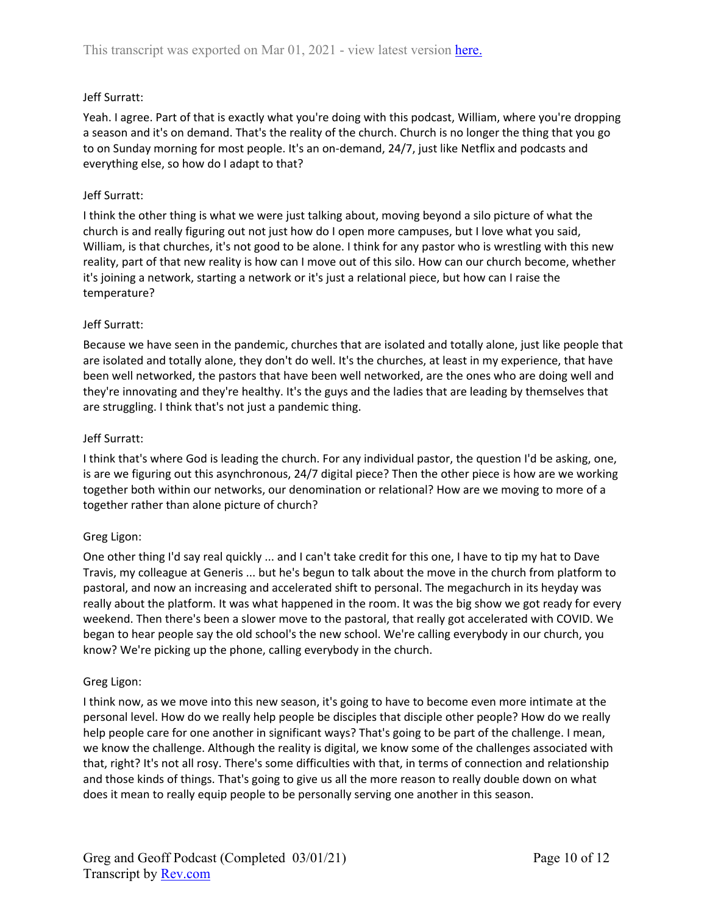## Jeff Surratt:

Yeah. I agree. Part of that is exactly what you're doing with this podcast, William, where you're dropping a season and it's on demand. That's the reality of the church. Church is no longer the thing that you go to on Sunday morning for most people. It's an on-demand, 24/7, just like Netflix and podcasts and everything else, so how do I adapt to that?

## Jeff Surratt:

I think the other thing is what we were just talking about, moving beyond a silo picture of what the church is and really figuring out not just how do I open more campuses, but I love what you said, William, is that churches, it's not good to be alone. I think for any pastor who is wrestling with this new reality, part of that new reality is how can I move out of this silo. How can our church become, whether it's joining a network, starting a network or it's just a relational piece, but how can I raise the temperature?

## Jeff Surratt:

Because we have seen in the pandemic, churches that are isolated and totally alone, just like people that are isolated and totally alone, they don't do well. It's the churches, at least in my experience, that have been well networked, the pastors that have been well networked, are the ones who are doing well and they're innovating and they're healthy. It's the guys and the ladies that are leading by themselves that are struggling. I think that's not just a pandemic thing.

## Jeff Surratt:

I think that's where God is leading the church. For any individual pastor, the question I'd be asking, one, is are we figuring out this asynchronous, 24/7 digital piece? Then the other piece is how are we working together both within our networks, our denomination or relational? How are we moving to more of a together rather than alone picture of church?

# Greg Ligon:

One other thing I'd say real quickly ... and I can't take credit for this one, I have to tip my hat to Dave Travis, my colleague at Generis ... but he's begun to talk about the move in the church from platform to pastoral, and now an increasing and accelerated shift to personal. The megachurch in its heyday was really about the platform. It was what happened in the room. It was the big show we got ready for every weekend. Then there's been a slower move to the pastoral, that really got accelerated with COVID. We began to hear people say the old school's the new school. We're calling everybody in our church, you know? We're picking up the phone, calling everybody in the church.

## Greg Ligon:

I think now, as we move into this new season, it's going to have to become even more intimate at the personal level. How do we really help people be disciples that disciple other people? How do we really help people care for one another in significant ways? That's going to be part of the challenge. I mean, we know the challenge. Although the reality is digital, we know some of the challenges associated with that, right? It's not all rosy. There's some difficulties with that, in terms of connection and relationship and those kinds of things. That's going to give us all the more reason to really double down on what does it mean to really equip people to be personally serving one another in this season.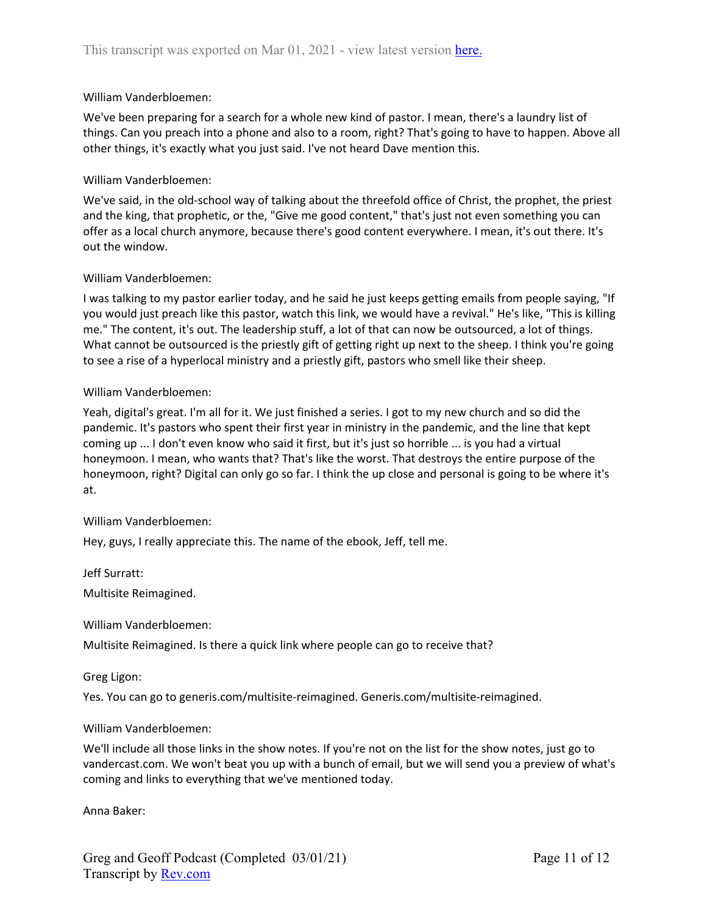#### William Vanderbloemen:

We've been preparing for a search for a whole new kind of pastor. I mean, there's a laundry list of things. Can you preach into a phone and also to a room, right? That's going to have to happen. Above all other things, it's exactly what you just said. I've not heard Dave mention this.

#### William Vanderbloemen:

We've said, in the old-school way of talking about the threefold office of Christ, the prophet, the priest and the king, that prophetic, or the, "Give me good content," that's just not even something you can offer as a local church anymore, because there's good content everywhere. I mean, it's out there. It's out the window.

### William Vanderbloemen:

I was talking to my pastor earlier today, and he said he just keeps getting emails from people saying, "If you would just preach like this pastor, watch this link, we would have a revival." He's like, "This is killing me." The content, it's out. The leadership stuff, a lot of that can now be outsourced, a lot of things. What cannot be outsourced is the priestly gift of getting right up next to the sheep. I think you're going to see a rise of a hyperlocal ministry and a priestly gift, pastors who smell like their sheep.

#### William Vanderbloemen:

Yeah, digital's great. I'm all for it. We just finished a series. I got to my new church and so did the pandemic. It's pastors who spent their first year in ministry in the pandemic, and the line that kept coming up ... I don't even know who said it first, but it's just so horrible ... is you had a virtual honeymoon. I mean, who wants that? That's like the worst. That destroys the entire purpose of the honeymoon, right? Digital can only go so far. I think the up close and personal is going to be where it's at.

#### William Vanderbloemen:

Hey, guys, I really appreciate this. The name of the ebook, Jeff, tell me.

Jeff Surratt:

Multisite Reimagined.

William Vanderbloemen:

Multisite Reimagined. Is there a quick link where people can go to receive that?

Greg Ligon:

Yes. You can go to generis.com/multisite-reimagined. Generis.com/multisite-reimagined.

#### William Vanderbloemen:

We'll include all those links in the show notes. If you're not on the list for the show notes, just go to vandercast.com. We won't beat you up with a bunch of email, but we will send you a preview of what's coming and links to everything that we've mentioned today.

Anna Baker: